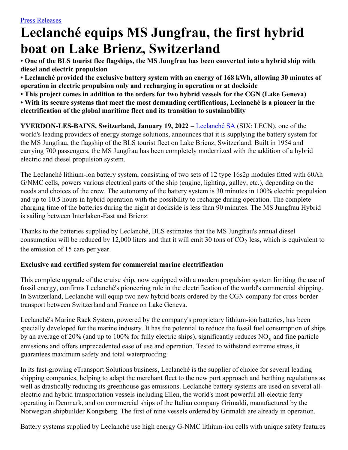# **Leclanché equips MS Jungfrau, the first hybrid boat on Lake Brienz, Switzerland**

• One of the BLS tourist flee flagships, the MS Jungfrau has been converted into a hybrid ship with **diesel and electric propulsion**

**• Leclanché provided the exclusive battery system with an energy of 168 kWh, allowing 30 minutes of operation in electric propulsion only and recharging in operation or at dockside**

**• This project comes in addition to the orders for two hybrid vessels for the CGN (Lake Geneva)**

**• With its secure systems that meet the most demanding certifications, Leclanché is a pioneer in the electrification of the global maritime fleet and its transition to sustainability**

**YVERDON-LES-BAINS, Switzerland, January 19, 2022** – [Leclanché](http://www.leclanche.com/) SA (SIX: LECN), one of the world's leading providers of energy storage solutions, announces that it is supplying the battery system for the MS Jungfrau, the flagship of the BLS tourist fleet on Lake Brienz, Switzerland. Built in 1954 and carrying 700 passengers, the MS Jungfrau has been completely modernized with the addition of a hybrid electric and diesel propulsion system.

The Leclanché lithium-ion battery system, consisting of two sets of 12 type 16s2p modules fitted with 60Ah G/NMC cells, powers various electrical parts of the ship (engine, lighting, galley, etc.), depending on the needs and choices of the crew. The autonomy of the battery system is 30 minutes in 100% electric propulsion and up to 10.5 hours in hybrid operation with the possibility to recharge during operation. The complete charging time of the batteries during the night at dockside is less than 90 minutes. The MS Jungfrau Hybrid is sailing between Interlaken-East and Brienz.

Thanks to the batteries supplied by Leclanché, BLS estimates that the MS Jungfrau's annual diesel consumption will be reduced by 12,000 liters and that it will emit 30 tons of  $CO_2$  less, which is equivalent to the emission of 15 cars per year.

# **Exclusive and certified system for commercial marine electrification**

This complete upgrade of the cruise ship, now equipped with a modern propulsion system limiting the use of fossil energy, confirms Leclanché's pioneering role in the electrification of the world's commercial shipping. In Switzerland, Leclanché will equip two new hybrid boats ordered by the CGN company for cross-border transport between Switzerland and France on Lake Geneva.

Leclanché's Marine Rack System, powered by the company's proprietary lithium-ion batteries, has been specially developed for the marine industry. It has the potential to reduce the fossil fuel consumption of ships by an average of 20% (and up to 100% for fully electric ships), significantly reduces  $NO_x$  and fine particle emissions and offers unprecedented ease of use and operation. Tested to withstand extreme stress, it guarantees maximum safety and total waterproofing.

In its fast-growing eTransport Solutions business, Leclanché is the supplier of choice for several leading shipping companies, helping to adapt the merchant fleet to the new port approach and berthing regulations as well as drastically reducing its greenhouse gas emissions. Leclanché battery systems are used on several allelectric and hybrid transportation vessels including Ellen, the world's most powerful all-electric ferry operating in Denmark, and on commercial ships of the Italian company Grimaldi, manufactured by the Norwegian shipbuilder Kongsberg. The first of nine vessels ordered by Grimaldi are already in operation.

Battery systems supplied by Leclanché use high energy G-NMC lithium-ion cells with unique safety features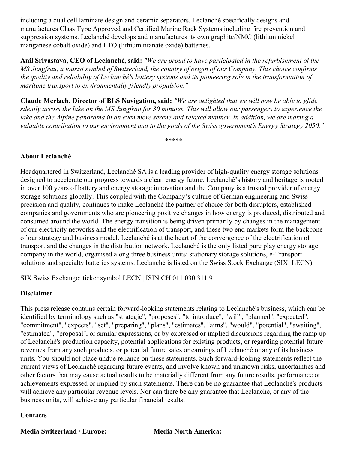including a dual cell laminate design and ceramic separators. Leclanché specifically designs and manufactures Class Type Approved and Certified Marine Rack Systems including fire prevention and suppression systems. Leclanché develops and manufactures its own graphite/NMC (lithium nickel manganese cobalt oxide) and LTO (lithium titanate oxide) batteries.

**Anil Srivastava, CEO of Leclanché**, **said:** *"We are proud to have participated in the refurbishment of the MS Jungfrau, a tourist symbol of Switzerland, the country of origin of our Company. This choice confirms the quality and reliability of Leclanché's battery systems and its pioneering role in the transformation of maritime transport to environmentally friendly propulsion."*

**Claude Merlach, Director of BLS Navigation, said:** "We are delighted that we will now be able to glide silently across the lake on the MS Jungfrau for 30 minutes. This will allow our passengers to experience the lake and the Alpine panorama in an even more serene and relaxed manner. In addition, we are making a *valuable contribution to our environment and to the goals of the Swiss government's Energy Strategy 2050."*

\*\*\*\*\*

## **About Leclanché**

Headquartered in Switzerland, Leclanché SA is a leading provider of high-quality energy storage solutions designed to accelerate our progress towards a clean energy future. Leclanché's history and heritage is rooted in over 100 years of battery and energy storage innovation and the Company is a trusted provider of energy storage solutions globally. This coupled with the Company's culture of German engineering and Swiss precision and quality, continues to make Leclanché the partner of choice for both disruptors, established companies and governments who are pioneering positive changes in how energy is produced, distributed and consumed around the world. The energy transition is being driven primarily by changes in the management of our electricity networks and the electrification of transport, and these two end markets form the backbone of our strategy and business model. Leclanché is at the heart of the convergence of the electrification of transport and the changes in the distribution network. Leclanché is the only listed pure play energy storage company in the world, organised along three business units: stationary storage solutions, e-Transport solutions and specialty batteries systems. Leclanché is listed on the Swiss Stock Exchange (SIX: LECN).

SIX Swiss Exchange: ticker symbol LECN | ISIN CH 011 030 311 9

### **Disclaimer**

This press release contains certain forward-looking statements relating to Leclanché's business, which can be identified by terminology such as "strategic", "proposes", "to introduce", "will", "planned", "expected", "commitment", "expects", "set", "preparing", "plans", "estimates", "aims", "would", "potential", "awaiting", "estimated", "proposal", or similar expressions, or by expressed or implied discussions regarding the ramp up of Leclanché's production capacity, potential applications for existing products, or regarding potential future revenues from any such products, or potential future sales or earnings of Leclanché or any of its business units. You should not place undue reliance on these statements. Such forward-looking statements reflect the current views of Leclanché regarding future events, and involve known and unknown risks, uncertainties and other factors that may cause actual results to be materially different from any future results, performance or achievements expressed or implied by such statements. There can be no guarantee that Leclanché's products will achieve any particular revenue levels. Nor can there be any guarantee that Leclanché, or any of the business units, will achieve any particular financial results.

### **Contacts**

**Media Switzerland / Europe: Media North America:**